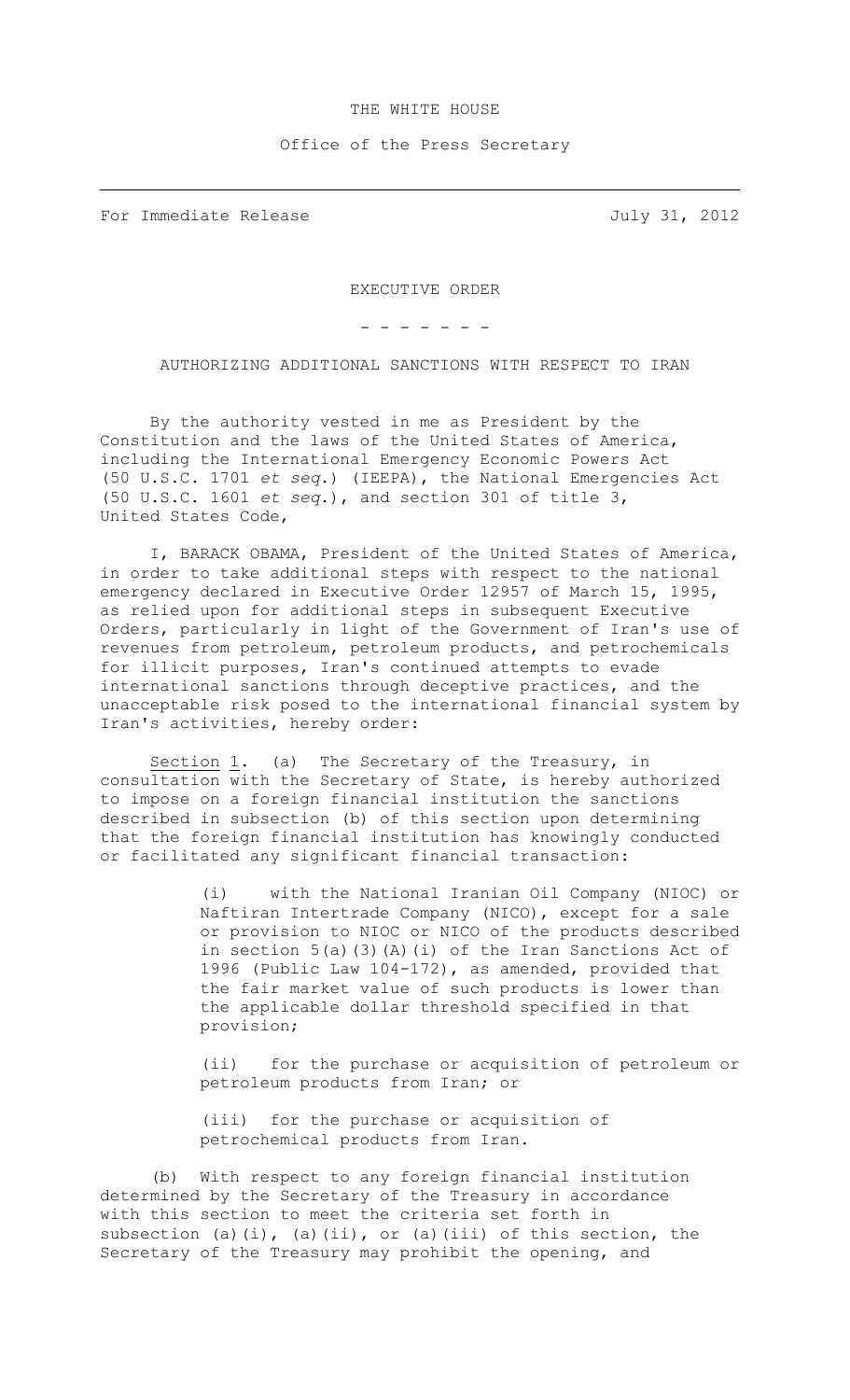## THE WHITE HOUSE

## Office of the Press Secretary

For Immediate Release July 31, 2012

EXECUTIVE ORDER

- - - - - - -

AUTHORIZING ADDITIONAL SANCTIONS WITH RESPECT TO IRAN

By the authority vested in me as President by the Constitution and the laws of the United States of America, including the International Emergency Economic Powers Act (50 U.S.C. 1701 *et seq*.) (IEEPA), the National Emergencies Act (50 U.S.C. 1601 *et seq*.), and section 301 of title 3, United States Code,

I, BARACK OBAMA, President of the United States of America, in order to take additional steps with respect to the national emergency declared in Executive Order 12957 of March 15, 1995, as relied upon for additional steps in subsequent Executive Orders, particularly in light of the Government of Iran's use of revenues from petroleum, petroleum products, and petrochemicals for illicit purposes, Iran's continued attempts to evade international sanctions through deceptive practices, and the unacceptable risk posed to the international financial system by Iran's activities, hereby order:

Section  $1.$  (a) The Secretary of the Treasury, in consultation with the Secretary of State, is hereby authorized to impose on a foreign financial institution the sanctions described in subsection (b) of this section upon determining that the foreign financial institution has knowingly conducted or facilitated any significant financial transaction:

> (i) with the National Iranian Oil Company (NIOC) or Naftiran Intertrade Company (NICO), except for a sale or provision to NIOC or NICO of the products described in section 5(a)(3)(A)(i) of the Iran Sanctions Act of 1996 (Public Law 104-172), as amended, provided that the fair market value of such products is lower than the applicable dollar threshold specified in that provision;

> (ii) for the purchase or acquisition of petroleum or petroleum products from Iran; or

(iii) for the purchase or acquisition of petrochemical products from Iran.

(b) With respect to any foreign financial institution determined by the Secretary of the Treasury in accordance with this section to meet the criteria set forth in subsection (a)(i), (a)(ii), or (a)(iii) of this section, the Secretary of the Treasury may prohibit the opening, and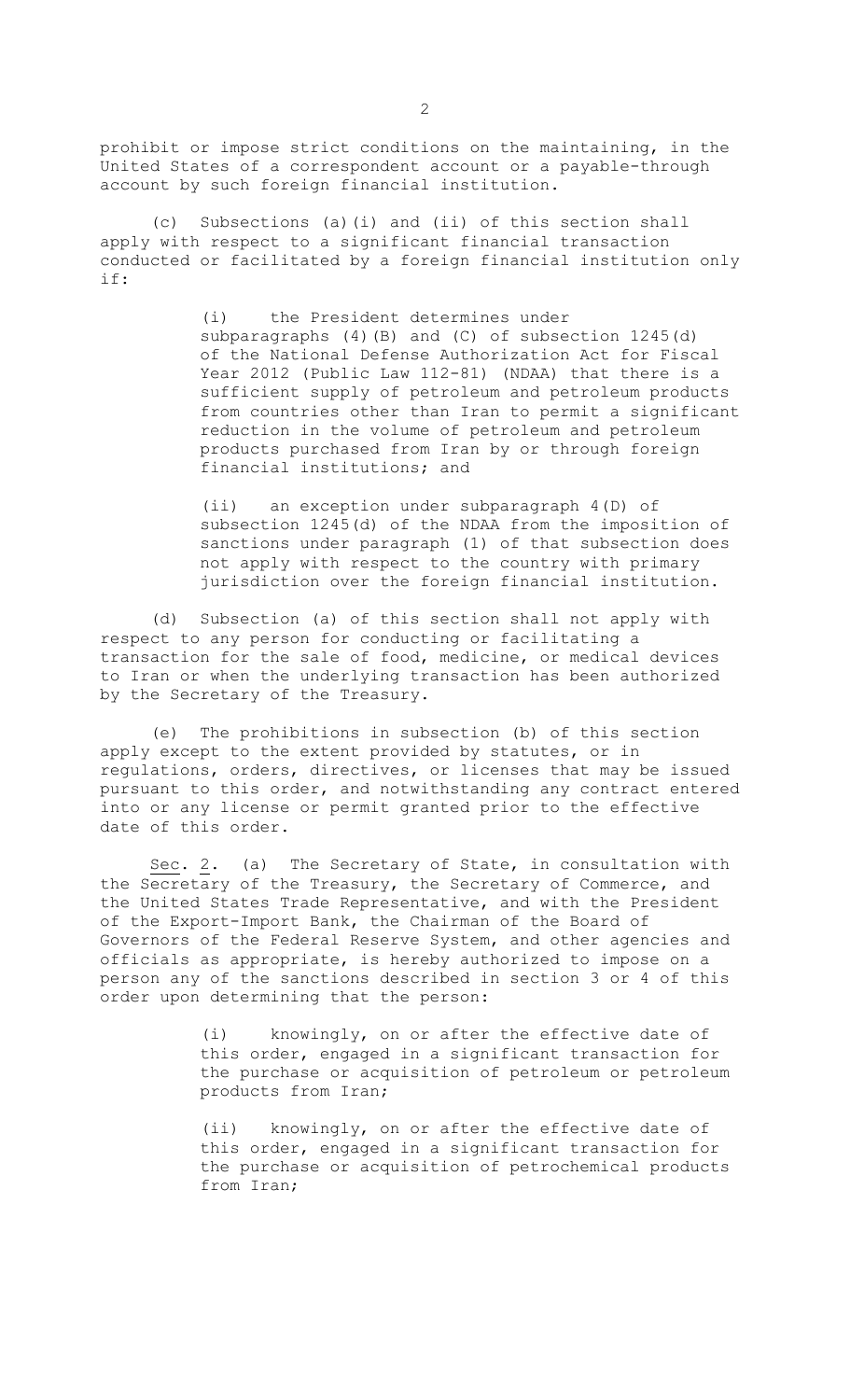prohibit or impose strict conditions on the maintaining, in the United States of a correspondent account or a payable-through account by such foreign financial institution.

(c) Subsections (a)(i) and (ii) of this section shall apply with respect to a significant financial transaction conducted or facilitated by a foreign financial institution only if:

> (i) the President determines under subparagraphs (4)(B) and (C) of subsection 1245(d) of the National Defense Authorization Act for Fiscal Year 2012 (Public Law 112-81) (NDAA) that there is a sufficient supply of petroleum and petroleum products from countries other than Iran to permit a significant reduction in the volume of petroleum and petroleum products purchased from Iran by or through foreign financial institutions; and

(ii) an exception under subparagraph 4(D) of subsection 1245(d) of the NDAA from the imposition of sanctions under paragraph (1) of that subsection does not apply with respect to the country with primary jurisdiction over the foreign financial institution.

(d) Subsection (a) of this section shall not apply with respect to any person for conducting or facilitating a transaction for the sale of food, medicine, or medical devices to Iran or when the underlying transaction has been authorized by the Secretary of the Treasury.

(e) The prohibitions in subsection (b) of this section apply except to the extent provided by statutes, or in regulations, orders, directives, or licenses that may be issued pursuant to this order, and notwithstanding any contract entered into or any license or permit granted prior to the effective date of this order.

Sec. 2. (a) The Secretary of State, in consultation with the Secretary of the Treasury, the Secretary of Commerce, and the United States Trade Representative, and with the President of the Export-Import Bank, the Chairman of the Board of Governors of the Federal Reserve System, and other agencies and officials as appropriate, is hereby authorized to impose on a person any of the sanctions described in section 3 or 4 of this order upon determining that the person:

> (i) knowingly, on or after the effective date of this order, engaged in a significant transaction for the purchase or acquisition of petroleum or petroleum products from Iran;

> (ii) knowingly, on or after the effective date of this order, engaged in a significant transaction for the purchase or acquisition of petrochemical products from Iran;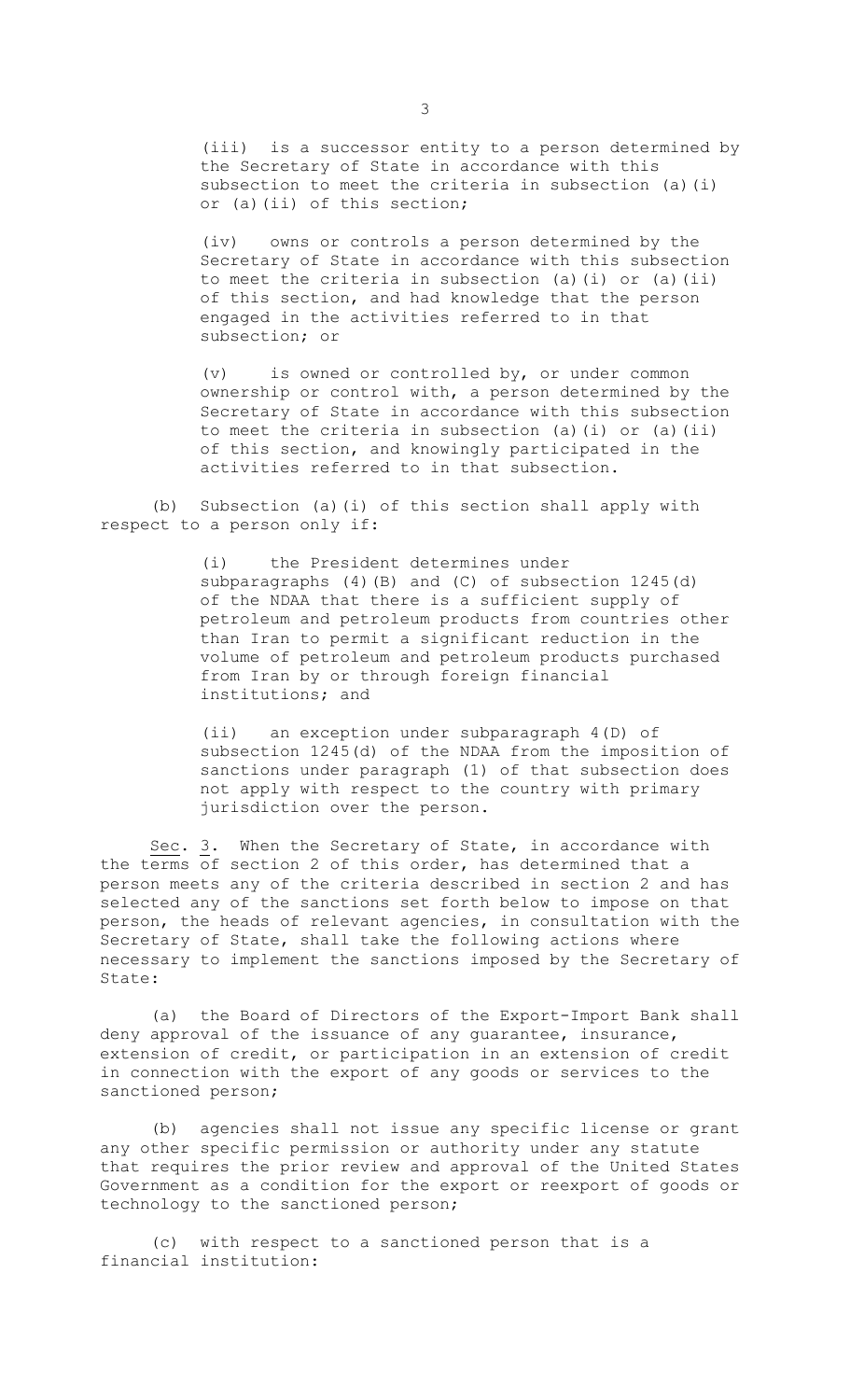(iii) is a successor entity to a person determined by the Secretary of State in accordance with this subsection to meet the criteria in subsection (a)(i) or (a)(ii) of this section;

(iv) owns or controls a person determined by the Secretary of State in accordance with this subsection to meet the criteria in subsection (a)(i) or (a)(ii) of this section, and had knowledge that the person engaged in the activities referred to in that subsection; or

(v) is owned or controlled by, or under common ownership or control with, a person determined by the Secretary of State in accordance with this subsection to meet the criteria in subsection (a)(i) or (a)(ii) of this section, and knowingly participated in the activities referred to in that subsection.

(b) Subsection (a)(i) of this section shall apply with respect to a person only if:

> (i) the President determines under subparagraphs (4)(B) and (C) of subsection 1245(d) of the NDAA that there is a sufficient supply of petroleum and petroleum products from countries other than Iran to permit a significant reduction in the volume of petroleum and petroleum products purchased from Iran by or through foreign financial institutions; and

> (ii) an exception under subparagraph 4(D) of subsection 1245(d) of the NDAA from the imposition of sanctions under paragraph (1) of that subsection does not apply with respect to the country with primary jurisdiction over the person.

Sec. 3. When the Secretary of State, in accordance with the terms of section 2 of this order, has determined that a person meets any of the criteria described in section 2 and has selected any of the sanctions set forth below to impose on that person, the heads of relevant agencies, in consultation with the Secretary of State, shall take the following actions where necessary to implement the sanctions imposed by the Secretary of State:

(a) the Board of Directors of the Export-Import Bank shall deny approval of the issuance of any guarantee, insurance, extension of credit, or participation in an extension of credit in connection with the export of any goods or services to the sanctioned person;

(b) agencies shall not issue any specific license or grant any other specific permission or authority under any statute that requires the prior review and approval of the United States Government as a condition for the export or reexport of goods or technology to the sanctioned person;

(c) with respect to a sanctioned person that is a financial institution: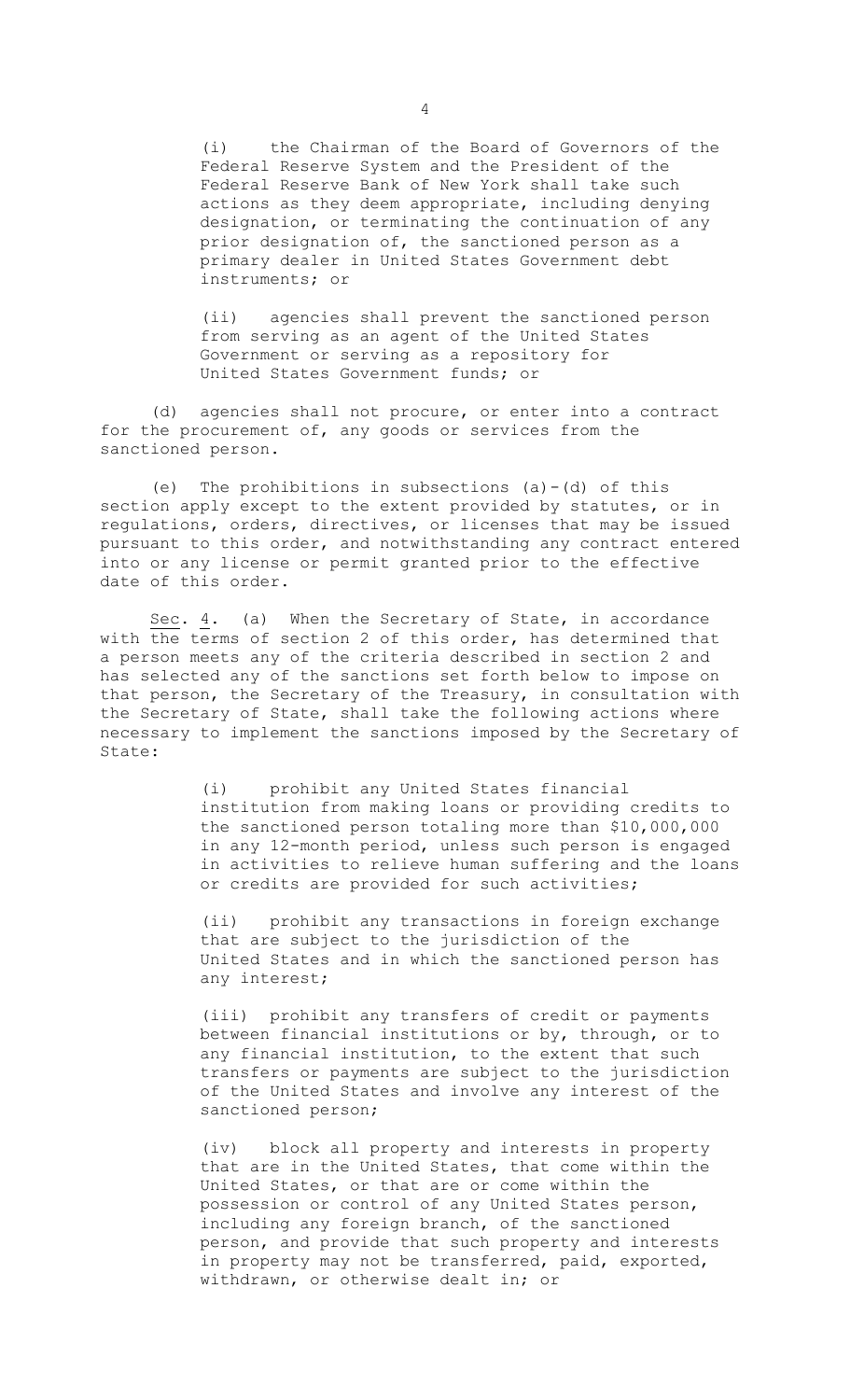(i) the Chairman of the Board of Governors of the Federal Reserve System and the President of the Federal Reserve Bank of New York shall take such actions as they deem appropriate, including denying designation, or terminating the continuation of any prior designation of, the sanctioned person as a primary dealer in United States Government debt instruments; or

(ii) agencies shall prevent the sanctioned person from serving as an agent of the United States Government or serving as a repository for United States Government funds; or

(d) agencies shall not procure, or enter into a contract for the procurement of, any goods or services from the sanctioned person.

(e) The prohibitions in subsections  $(a)-(d)$  of this section apply except to the extent provided by statutes, or in regulations, orders, directives, or licenses that may be issued pursuant to this order, and notwithstanding any contract entered into or any license or permit granted prior to the effective date of this order.

Sec. 4. (a) When the Secretary of State, in accordance with the terms of section 2 of this order, has determined that a person meets any of the criteria described in section 2 and has selected any of the sanctions set forth below to impose on that person, the Secretary of the Treasury, in consultation with the Secretary of State, shall take the following actions where necessary to implement the sanctions imposed by the Secretary of State:

> (i) prohibit any United States financial institution from making loans or providing credits to the sanctioned person totaling more than \$10,000,000 in any 12-month period, unless such person is engaged in activities to relieve human suffering and the loans or credits are provided for such activities;

(ii) prohibit any transactions in foreign exchange that are subject to the jurisdiction of the United States and in which the sanctioned person has any interest;

(iii) prohibit any transfers of credit or payments between financial institutions or by, through, or to any financial institution, to the extent that such transfers or payments are subject to the jurisdiction of the United States and involve any interest of the sanctioned person;

(iv) block all property and interests in property that are in the United States, that come within the United States, or that are or come within the possession or control of any United States person, including any foreign branch, of the sanctioned person, and provide that such property and interests in property may not be transferred, paid, exported, withdrawn, or otherwise dealt in; or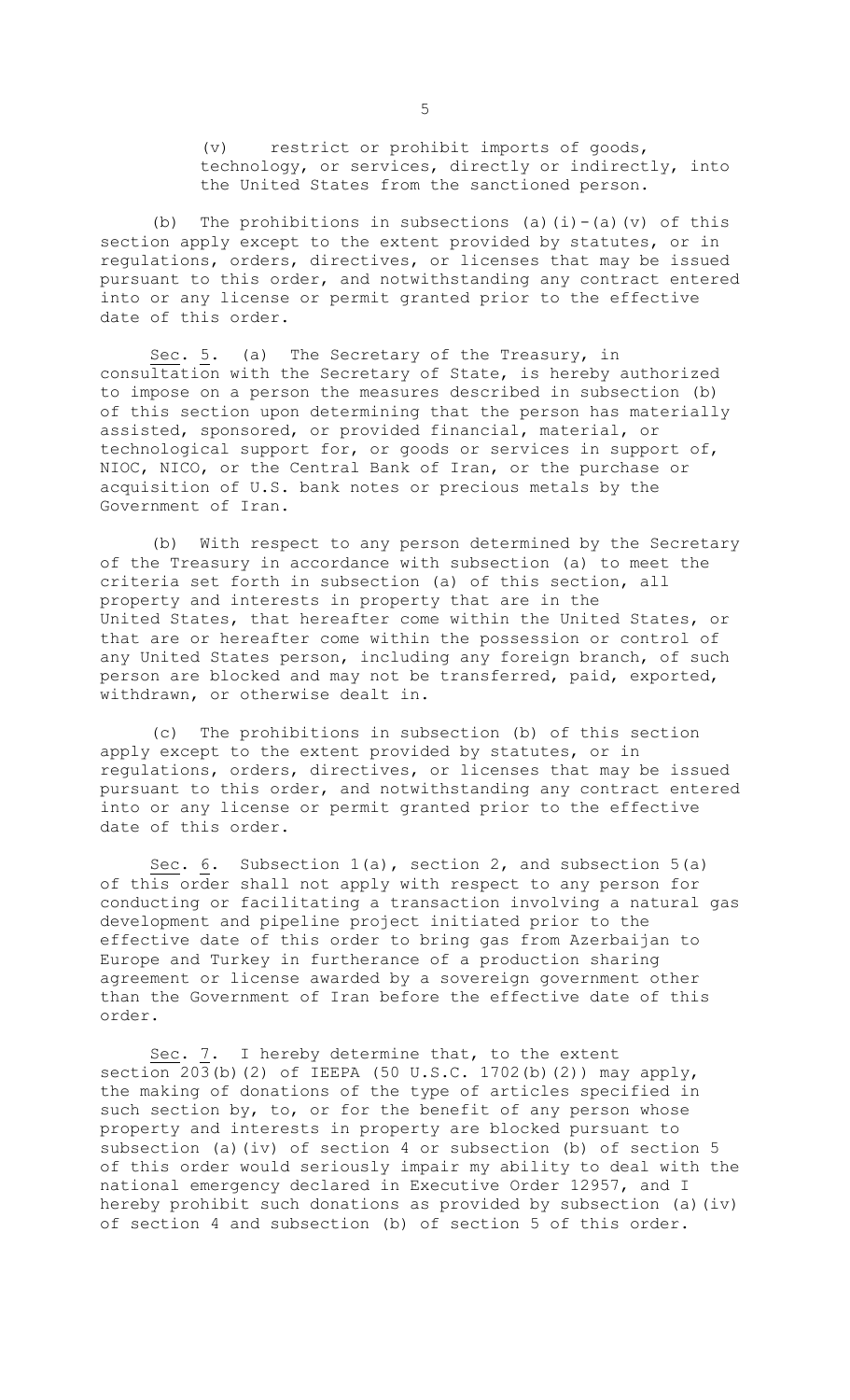(v) restrict or prohibit imports of goods, technology, or services, directly or indirectly, into the United States from the sanctioned person.

(b) The prohibitions in subsections (a)(i)-(a)(v) of this section apply except to the extent provided by statutes, or in regulations, orders, directives, or licenses that may be issued pursuant to this order, and notwithstanding any contract entered into or any license or permit granted prior to the effective date of this order.

Sec. 5. (a) The Secretary of the Treasury, in consultation with the Secretary of State, is hereby authorized to impose on a person the measures described in subsection (b) of this section upon determining that the person has materially assisted, sponsored, or provided financial, material, or technological support for, or goods or services in support of, NIOC, NICO, or the Central Bank of Iran, or the purchase or acquisition of U.S. bank notes or precious metals by the Government of Iran.

(b) With respect to any person determined by the Secretary of the Treasury in accordance with subsection (a) to meet the criteria set forth in subsection (a) of this section, all property and interests in property that are in the United States, that hereafter come within the United States, or that are or hereafter come within the possession or control of any United States person, including any foreign branch, of such person are blocked and may not be transferred, paid, exported, withdrawn, or otherwise dealt in.

(c) The prohibitions in subsection (b) of this section apply except to the extent provided by statutes, or in regulations, orders, directives, or licenses that may be issued pursuant to this order, and notwithstanding any contract entered into or any license or permit granted prior to the effective date of this order.

Sec. 6. Subsection 1(a), section 2, and subsection 5(a) of this order shall not apply with respect to any person for conducting or facilitating a transaction involving a natural gas development and pipeline project initiated prior to the effective date of this order to bring gas from Azerbaijan to Europe and Turkey in furtherance of a production sharing agreement or license awarded by a sovereign government other than the Government of Iran before the effective date of this order.

Sec. 7. I hereby determine that, to the extent section  $203(b)$  (2) of IEEPA (50 U.S.C. 1702(b)(2)) may apply, the making of donations of the type of articles specified in such section by, to, or for the benefit of any person whose property and interests in property are blocked pursuant to subsection (a)(iv) of section 4 or subsection (b) of section 5 of this order would seriously impair my ability to deal with the national emergency declared in Executive Order 12957, and I hereby prohibit such donations as provided by subsection (a)(iv) of section 4 and subsection (b) of section 5 of this order.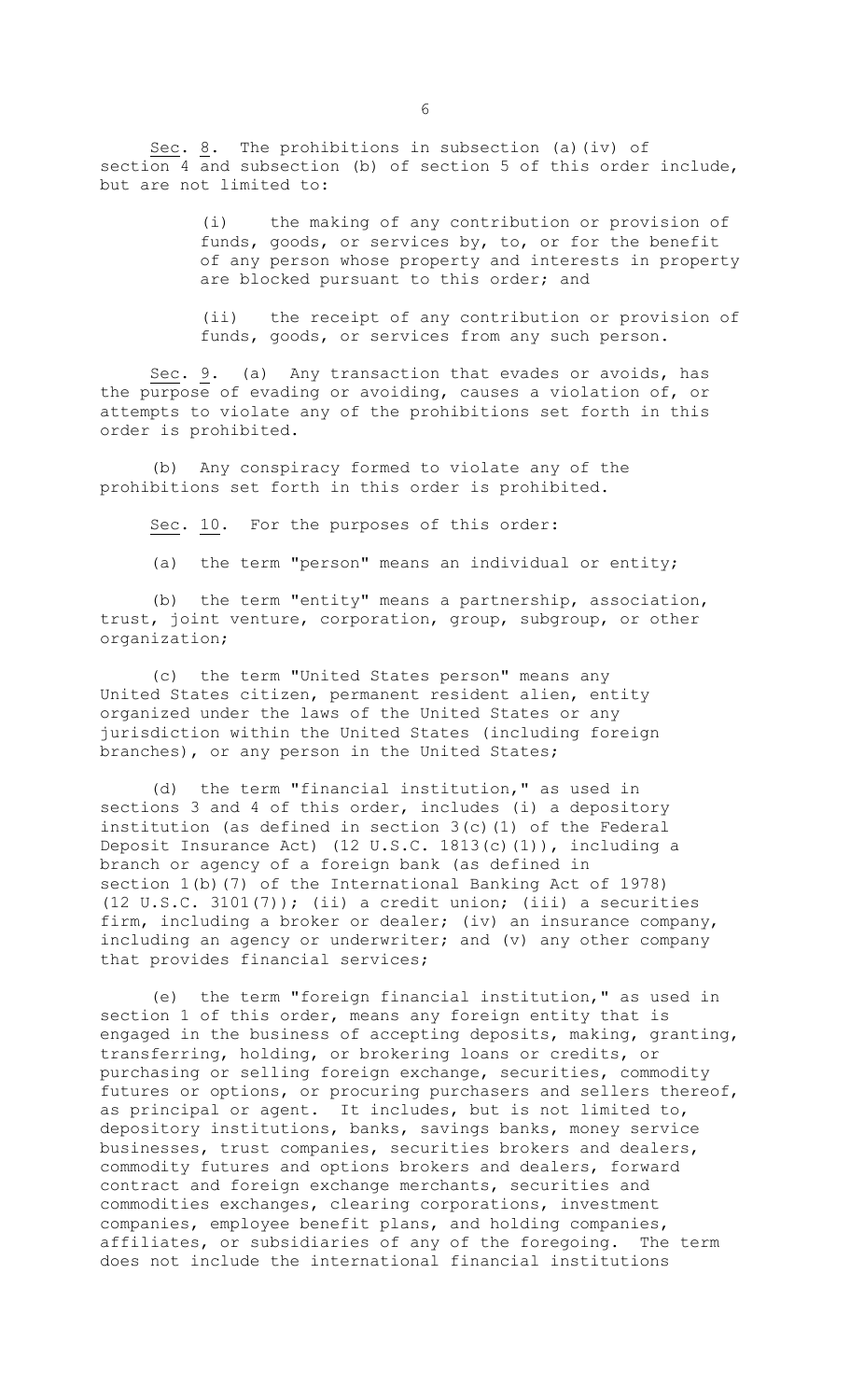Sec. 8. The prohibitions in subsection (a)(iv) of section 4 and subsection (b) of section 5 of this order include, but are not limited to:

> (i) the making of any contribution or provision of funds, goods, or services by, to, or for the benefit of any person whose property and interests in property are blocked pursuant to this order; and

> (ii) the receipt of any contribution or provision of funds, goods, or services from any such person.

Sec.  $9$ . (a) Any transaction that evades or avoids, has the purpose of evading or avoiding, causes a violation of, or attempts to violate any of the prohibitions set forth in this order is prohibited.

(b) Any conspiracy formed to violate any of the prohibitions set forth in this order is prohibited.

Sec. 10. For the purposes of this order:

(a) the term "person" means an individual or entity;

(b) the term "entity" means a partnership, association, trust, joint venture, corporation, group, subgroup, or other organization;

(c) the term "United States person" means any United States citizen, permanent resident alien, entity organized under the laws of the United States or any jurisdiction within the United States (including foreign branches), or any person in the United States;

(d) the term "financial institution," as used in sections 3 and 4 of this order, includes (i) a depository institution (as defined in section 3(c)(1) of the Federal Deposit Insurance Act) (12 U.S.C. 1813(c)(1)), including a branch or agency of a foreign bank (as defined in section 1(b)(7) of the International Banking Act of 1978) (12 U.S.C. 3101(7)); (ii) a credit union; (iii) a securities firm, including a broker or dealer; (iv) an insurance company, including an agency or underwriter; and (v) any other company that provides financial services;

(e) the term "foreign financial institution," as used in section 1 of this order, means any foreign entity that is engaged in the business of accepting deposits, making, granting, transferring, holding, or brokering loans or credits, or purchasing or selling foreign exchange, securities, commodity futures or options, or procuring purchasers and sellers thereof, as principal or agent. It includes, but is not limited to, depository institutions, banks, savings banks, money service businesses, trust companies, securities brokers and dealers, commodity futures and options brokers and dealers, forward contract and foreign exchange merchants, securities and commodities exchanges, clearing corporations, investment companies, employee benefit plans, and holding companies, affiliates, or subsidiaries of any of the foregoing. The term does not include the international financial institutions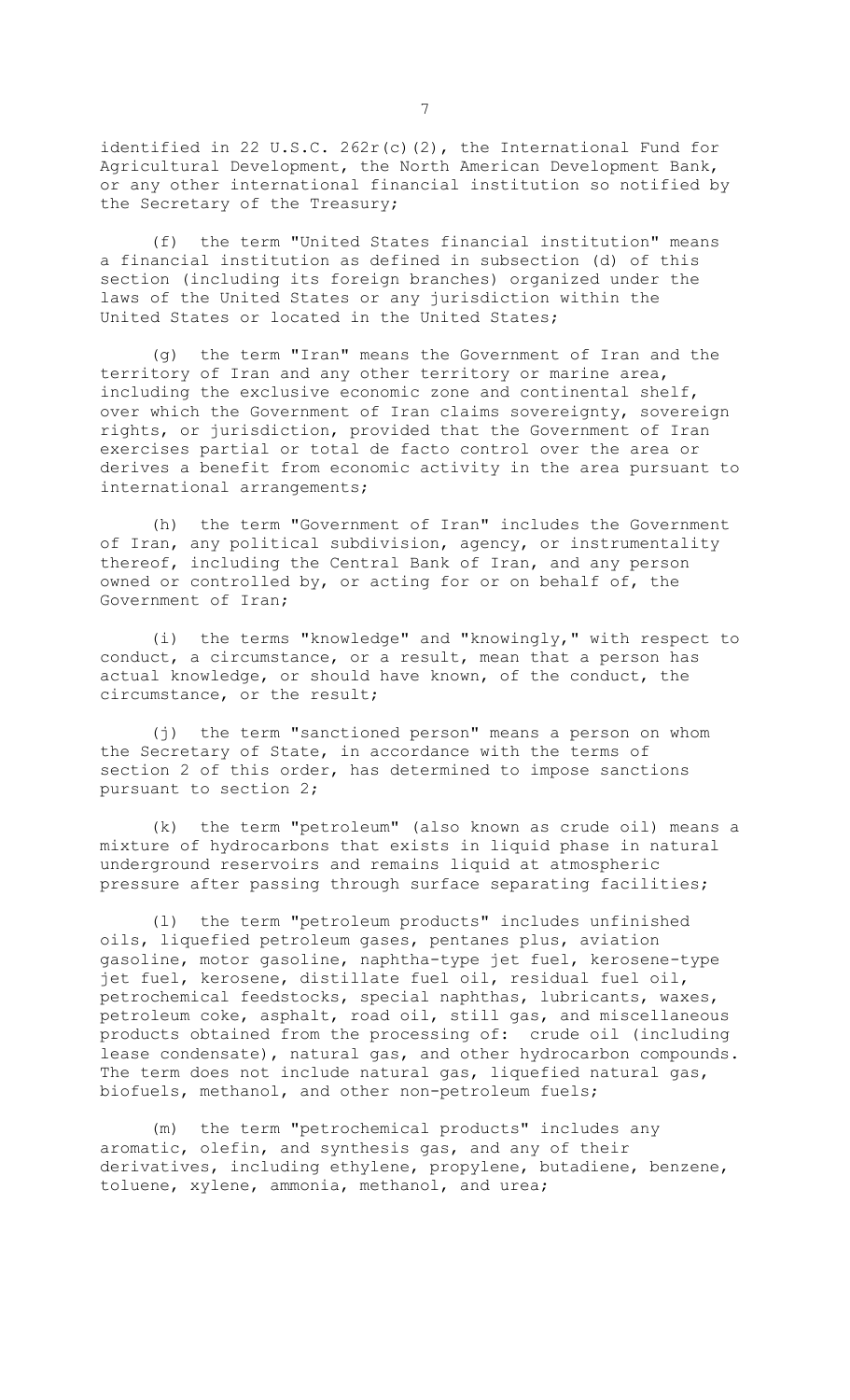identified in 22 U.S.C. 262r(c)(2), the International Fund for Agricultural Development, the North American Development Bank, or any other international financial institution so notified by the Secretary of the Treasury;

(f) the term "United States financial institution" means a financial institution as defined in subsection (d) of this section (including its foreign branches) organized under the laws of the United States or any jurisdiction within the United States or located in the United States;

(g) the term "Iran" means the Government of Iran and the territory of Iran and any other territory or marine area, including the exclusive economic zone and continental shelf, over which the Government of Iran claims sovereignty, sovereign rights, or jurisdiction, provided that the Government of Iran exercises partial or total de facto control over the area or derives a benefit from economic activity in the area pursuant to international arrangements;

(h) the term "Government of Iran" includes the Government of Iran, any political subdivision, agency, or instrumentality thereof, including the Central Bank of Iran, and any person owned or controlled by, or acting for or on behalf of, the Government of Iran;

(i) the terms "knowledge" and "knowingly," with respect to conduct, a circumstance, or a result, mean that a person has actual knowledge, or should have known, of the conduct, the circumstance, or the result;

(j) the term "sanctioned person" means a person on whom the Secretary of State, in accordance with the terms of section 2 of this order, has determined to impose sanctions pursuant to section 2;

(k) the term "petroleum" (also known as crude oil) means a mixture of hydrocarbons that exists in liquid phase in natural underground reservoirs and remains liquid at atmospheric pressure after passing through surface separating facilities;

(l) the term "petroleum products" includes unfinished oils, liquefied petroleum gases, pentanes plus, aviation gasoline, motor gasoline, naphtha-type jet fuel, kerosene-type jet fuel, kerosene, distillate fuel oil, residual fuel oil, petrochemical feedstocks, special naphthas, lubricants, waxes, petroleum coke, asphalt, road oil, still gas, and miscellaneous products obtained from the processing of: crude oil (including lease condensate), natural gas, and other hydrocarbon compounds. The term does not include natural gas, liquefied natural gas, biofuels, methanol, and other non-petroleum fuels;

(m) the term "petrochemical products" includes any aromatic, olefin, and synthesis gas, and any of their derivatives, including ethylene, propylene, butadiene, benzene, toluene, xylene, ammonia, methanol, and urea;